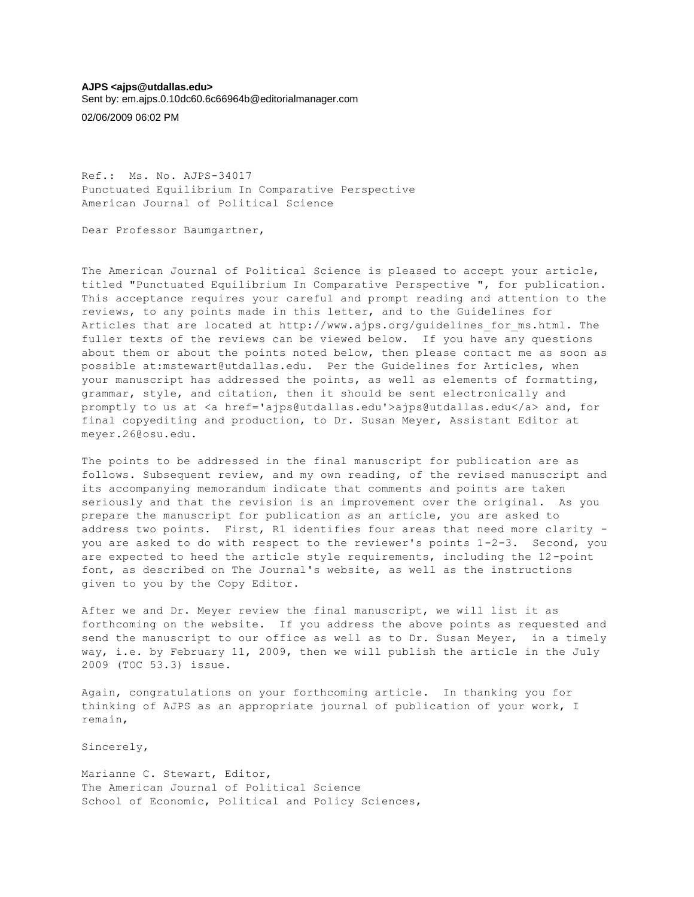**AJPS <ajps@utdallas.edu>**

Sent by: em.ajps.0.10dc60.6c66964b@editorialmanager.com

02/06/2009 06:02 PM

Ref.: Ms. No. AJPS-34017 Punctuated Equilibrium In Comparative Perspective American Journal of Political Science

Dear Professor Baumgartner,

The American Journal of Political Science is pleased to accept your article, titled "Punctuated Equilibrium In Comparative Perspective ", for publication. This acceptance requires your careful and prompt reading and attention to the reviews, to any points made in this letter, and to the Guidelines for Articles that are located at http://www.ajps.org/guidelines for ms.html. The fuller texts of the reviews can be viewed below. If you have any questions about them or about the points noted below, then please contact me as soon as possible at:mstewart@utdallas.edu. Per the Guidelines for Articles, when your manuscript has addressed the points, as well as elements of formatting, grammar, style, and citation, then it should be sent electronically and promptly to us at <a href='ajps@utdallas.edu'>ajps@utdallas.edu</a> and, for final copyediting and production, to Dr. Susan Meyer, Assistant Editor at meyer.26@osu.edu.

The points to be addressed in the final manuscript for publication are as follows. Subsequent review, and my own reading, of the revised manuscript and its accompanying memorandum indicate that comments and points are taken seriously and that the revision is an improvement over the original. As you prepare the manuscript for publication as an article, you are asked to address two points. First, R1 identifies four areas that need more clarity you are asked to do with respect to the reviewer's points 1-2-3. Second, you are expected to heed the article style requirements, including the 12-point font, as described on The Journal's website, as well as the instructions given to you by the Copy Editor.

After we and Dr. Meyer review the final manuscript, we will list it as forthcoming on the website. If you address the above points as requested and send the manuscript to our office as well as to Dr. Susan Meyer, in a timely way, i.e. by February 11, 2009, then we will publish the article in the July 2009 (TOC 53.3) issue.

Again, congratulations on your forthcoming article. In thanking you for thinking of AJPS as an appropriate journal of publication of your work, I remain,

Sincerely,

Marianne C. Stewart, Editor, The American Journal of Political Science School of Economic, Political and Policy Sciences,